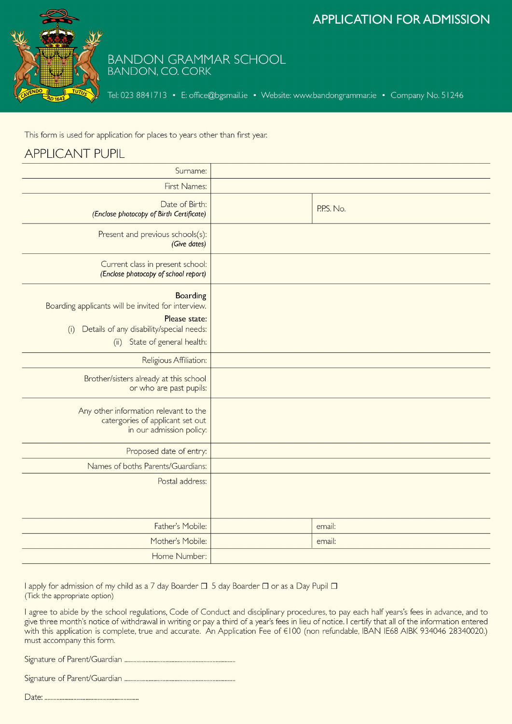# **APPLICATION FOR ADMISSION**



# BANDON GRAMMAR SCHOOL

Tel: 023 8841713 • E: office@bgsmail.ie • Website: www.bandongrammar.ie • Company No. 51246

This form is used for application for places to years other than first year.

## **APPLICANT PUPIL**

| Surname:                                                                                                                                                                   |            |
|----------------------------------------------------------------------------------------------------------------------------------------------------------------------------|------------|
| First Names:                                                                                                                                                               |            |
| Date of Birth:<br>(Enclose photocopy of Birth Certificate)                                                                                                                 | P.P.S. No. |
| Present and previous schools(s):<br>(Give dates)                                                                                                                           |            |
| Current class in present school:<br>(Enclose photocopy of school report)                                                                                                   |            |
| <b>Boarding</b><br>Boarding applicants will be invited for interview.<br>Please state:<br>Details of any disability/special needs:<br>(i)<br>(ii) State of general health: |            |
| Religious Affiliation:                                                                                                                                                     |            |
| Brother/sisters already at this school<br>or who are past pupils:                                                                                                          |            |
| Any other information relevant to the<br>catergories of applicant set out<br>in our admission policy:                                                                      |            |
| Proposed date of entry:                                                                                                                                                    |            |
| Names of boths Parents/Guardians:                                                                                                                                          |            |
| Postal address:                                                                                                                                                            |            |
| Father's Mobile:                                                                                                                                                           | email:     |
| Mother's Mobile:                                                                                                                                                           | email:     |
| Home Number:                                                                                                                                                               |            |
|                                                                                                                                                                            |            |

I apply for admission of my child as a 7 day Boarder □ 5 day Boarder □ or as a Day Pupil □ (Tick the appropriate option)

I agree to abide by the school regulations, Code of Conduct and disciplinary procedures, to pay each half years's fees in advance, and to give three month's notice of withdrawal in writing or pay a third of a year's fees in lieu of notice. I certify that all of the information entered with this application is complete, true and accurate. An Application Fee of €100 (non refundable, IBAN IE68 AIBK 934046 28340020.) must accompany this form.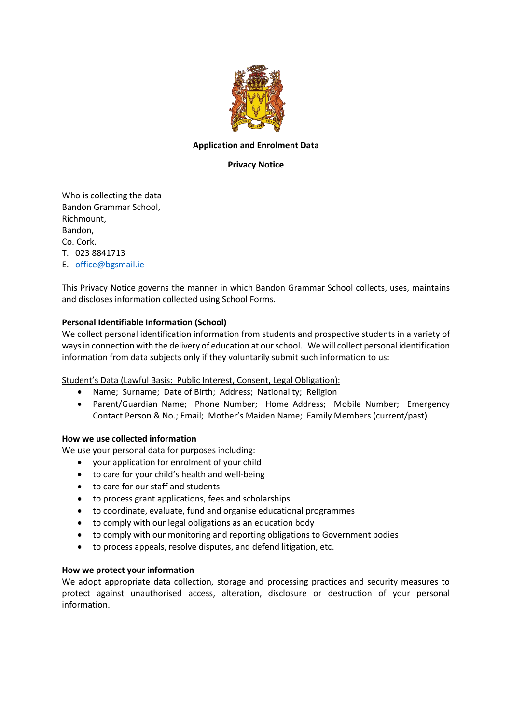

#### **Application and Enrolment Data**

## **Privacy Notice**

Who is collecting the data Bandon Grammar School, Richmount, Bandon, Co. Cork. T. 023 8841713 E. [office@bgsmail.ie](mailto:office@bgsmail.ie)

This Privacy Notice governs the manner in which Bandon Grammar School collects, uses, maintains and discloses information collected using School Forms.

### **Personal Identifiable Information (School)**

We collect personal identification information from students and prospective students in a variety of ways in connection with the delivery of education at our school. We will collect personal identification information from data subjects only if they voluntarily submit such information to us:

Student's Data (Lawful Basis: Public Interest, Consent, Legal Obligation):

- Name; Surname; Date of Birth; Address; Nationality; Religion
- Parent/Guardian Name; Phone Number; Home Address; Mobile Number; Emergency Contact Person & No.; Email; Mother's Maiden Name; Family Members (current/past)

#### **How we use collected information**

We use your personal data for purposes including:

- your application for enrolment of your child
- to care for your child's health and well-being
- to care for our staff and students
- to process grant applications, fees and scholarships
- to coordinate, evaluate, fund and organise educational programmes
- to comply with our legal obligations as an education body
- to comply with our monitoring and reporting obligations to Government bodies
- to process appeals, resolve disputes, and defend litigation, etc.

#### **How we protect your information**

We adopt appropriate data collection, storage and processing practices and security measures to protect against unauthorised access, alteration, disclosure or destruction of your personal information.